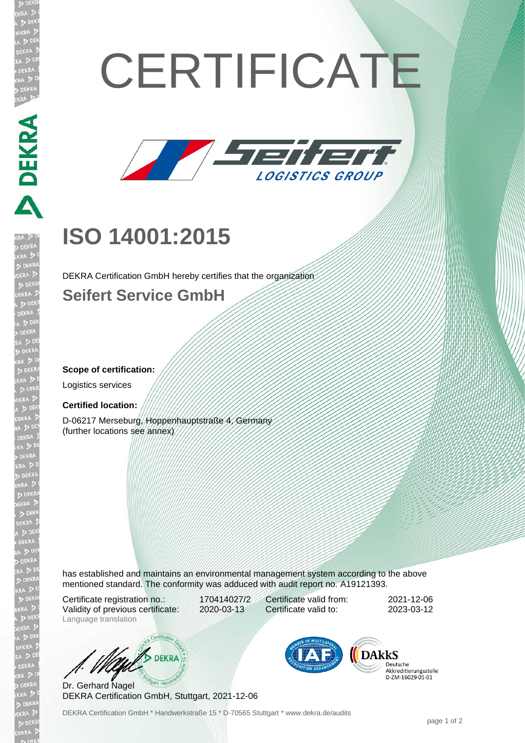# **CERTIFICATE**



# **ISO 14001:2015**

DEKRA Certification GmbH hereby certifies that the organization

### **Seifert Service GmbH**

#### **Scope of certification:**

Logistics services

**DEKRA** 

EKR

#### **Certified location:**

D-06217 Merseburg, Hoppenhauptstraße 4, Germany (further locations see annex)

has established and maintains an environmental management system according to the above mentioned standard. The conformity was adduced with audit report no. A19121393.

Certificate registration no.: 170414027/2 Validity of previous certificate: 2020-03-13 Language translation

**BEKRA** 

Dr. Gerhard Nagel DEKRA Certification GmbH, Stuttgart, 2021-12-06



Certificate valid from: 2021-12-06 Certificate valid to: 2023-03-12

> Deutsche Akkreditierungsstelle D-ZM-16029-01-01

DEKRA Certification GmbH \* Handwerkstraße 15 \* D-70565 Stuttgart \* www.dekra.de/audits